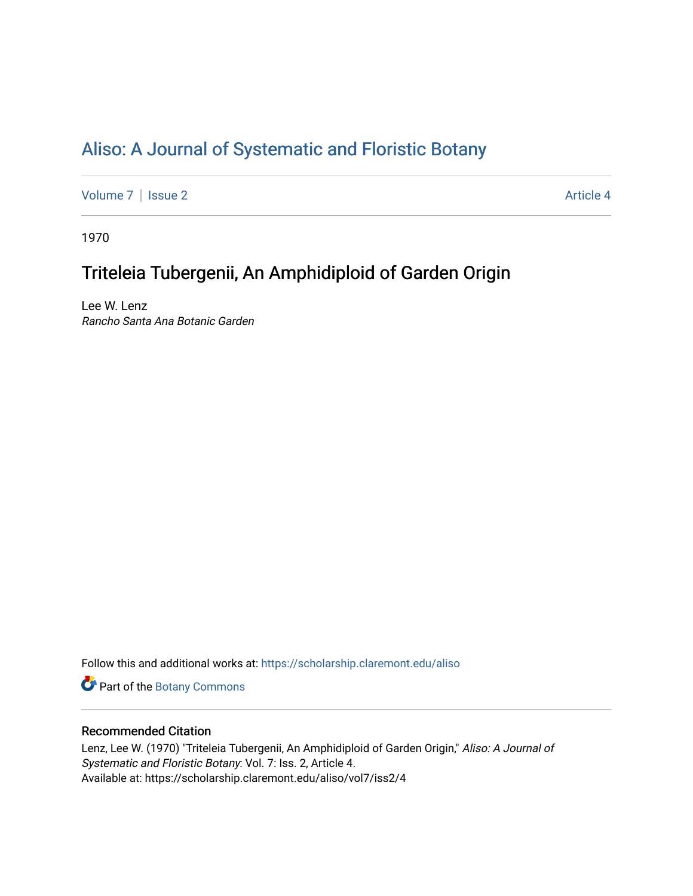# [Aliso: A Journal of Systematic and Floristic Botany](https://scholarship.claremont.edu/aliso)

[Volume 7](https://scholarship.claremont.edu/aliso/vol7) | [Issue 2](https://scholarship.claremont.edu/aliso/vol7/iss2) Article 4

1970

# Triteleia Tubergenii, An Amphidiploid of Garden Origin

Lee W. Lenz Rancho Santa Ana Botanic Garden

Follow this and additional works at: [https://scholarship.claremont.edu/aliso](https://scholarship.claremont.edu/aliso?utm_source=scholarship.claremont.edu%2Faliso%2Fvol7%2Fiss2%2F4&utm_medium=PDF&utm_campaign=PDFCoverPages) 

Part of the [Botany Commons](https://network.bepress.com/hgg/discipline/104?utm_source=scholarship.claremont.edu%2Faliso%2Fvol7%2Fiss2%2F4&utm_medium=PDF&utm_campaign=PDFCoverPages) 

## Recommended Citation

Lenz, Lee W. (1970) "Triteleia Tubergenii, An Amphidiploid of Garden Origin," Aliso: A Journal of Systematic and Floristic Botany: Vol. 7: Iss. 2, Article 4. Available at: https://scholarship.claremont.edu/aliso/vol7/iss2/4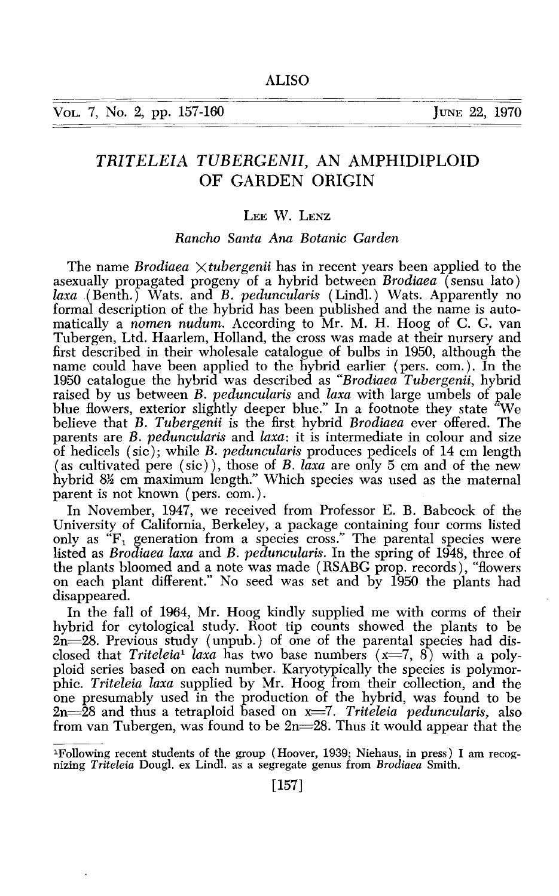VOL. 7, No. 2, pp. 157-160 JUNE 22, 1970

## *TRITELEIA TUBERGENII,* AN AMPHIDIPLOID OF GARDEN ORIGIN

### LEE W. LENZ

### *Rancho Santa Ana Botanic Garden*

The name *Brodiaea* X *tuber genii* has in recent years been applied to the asexually propagated progeny of a hybrid between *Brodiaea* (sensu lato) *laxa* .(Benth.) Wats. and *B. peduncularis* (Lindl.) Wats. Apparently no formal description of the hybrid has been published and the name is automatically a *nomen nudum.* According to Mr. M. H. Hoog of C. G. van Tubergen, Ltd. Haarlem, Holland, the cross was made at their nursery and first described in their wholesale catalogue of bulbs in 1950, although the name could have been applied to the hybrid earlier ( pers. com.). In the 1950 catalogue the hybrid was described as *"Brodiaea Tubergenii,* hybrid raised by us between *B. peduncularis* and *laxa* with large umbels of pale blue flowers, exterior slightly deeper blue." In a footnote they state "We believe that *B. Tubergenii* is the first hybrid *Brodiaea* ever offered. The parents are *B. peduncularis* and *laxa:* it is intermediate in colour and size of hedicels (sic); while *B. peduncularis* produces pedicels of 14 em length (as cultivated pere (sic)), those of *B. laxa* are only 5 em and of the new hybrid 8<sup>1</sup>/<sub>2</sub> cm maximum length." Which species was used as the maternal parent is not known (pers. com.).

In November, 1947, we received from Professor E. B. Babcock of the University of California, Berkeley, a package containing four corms listed only as  $F_1$  generation from a species cross." The parental species were listed as *Brodiaea laxa* and *B. peduncularis.* In the spring of 1948, three of the plants bloomed and a note was made ( RSABG prop. records), "flowers on each plant different." No seed was set and by 1950 the plants had disappeared.

In the fall of 1964, Mr. Hoog kindly supplied me with corms of their hybrid for cytological study. Root tip counts showed the plants to be  $2n = 28$ . Previous study (unpub.) of one of the parental species had disclosed that *Triteleia<sup>1</sup> laxa* has two base numbers  $(x=7, 8)$  with a polyploid series based on each number. Karyotypically the species is polymorphic. *Triteleia laxa* supplied by Mr. Hoog from their collection, and the one presumably used in the production of the hybrid, was found to be 2n=28 and thus a tetraploid based on x=7. *Triteleia peduncularis*, also from van Tubergen, was found to be  $2n=28$ . Thus it would appear that the

1Following recent students of the group (Hoover, 1939; Niehaus, in press) I am recognizing *Triteleia* Dougl. ex Lind!. as a segregate genus from *Brodiaea* Smith.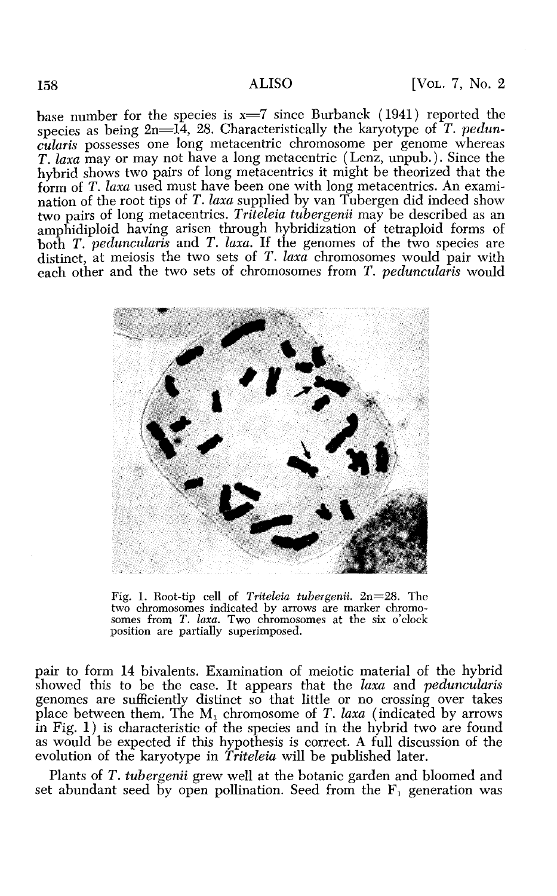base number for the species is  $x=7$  since Burbanck (1941) reported the species as being 2n= $\overline{14}$ , 28. Characteristically the karyotype of *T. peduncularis* possesses one long metacentric chromosome per genome whereas *T. laxa* may or may not have a long metacentric (Lenz, unpub.). Since the hybrid shows two pairs of long metacentrics it might be theorized that the form of *T. laxa* used must have been one with long metacentrics. An examination of the root tips of T. laxa supplied by van Tubergen did indeed show two pairs of long metacentrics. *Triteleia tubergenii* may be described as an amphidiploid having arisen through hybridization of tetraploid forms of both *T. peduncularis* and *T. laxa*. If the genomes of the two species are distinct, at meiosis the two sets of *T. laxa* chromosomes would pair with each other and the two sets of chromosomes from *T. peduncularis* would



Fig. 1. Root-tip cell of *Triteleia tubergenii*. 2n=28. The two chromosomes indicated by arrows are marker chromosomes from *T. laxa.* Two chromosomes at the six o'clock position are partially superimposed.

pair to form 14 bivalents. Examination of meiotic material of the hybrid showed this to be the case. It appears that the *laxa* and *peduncularis*  genomes are sufficiently distinct so that little or no crossing over takes place between them. The M<sub>1</sub> chromosome of *T. laxa* (indicated by arrows in Fig.  $1$ ) is characteristic of the species and in the hybrid two are found as would be expected if this hypothesis is correct. A full discussion of the evolution of the karyotype in *Triteleia* will be published later.

Plants of *T. tubergenii* grew well at the botanic garden and bloomed and set abundant seed by open pollination. Seed from the  $F_1$  generation was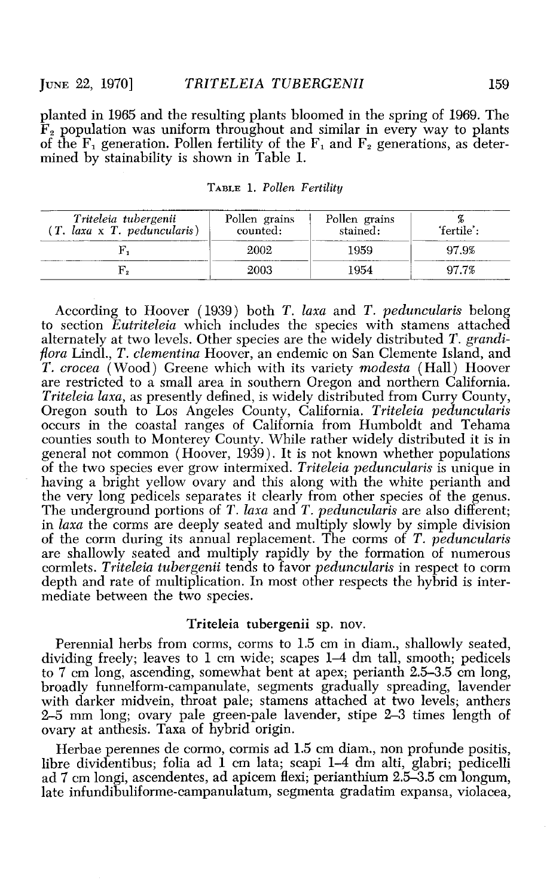planted in 1965 and the resulting plants bloomed in the spring of 1969. The  $\mathbf{\tilde{F}}_2$  population was uniform throughout and similar in every way to plants of the  $F_1$  generation. Pollen fertility of the  $F_1$  and  $F_2$  generations, as determined by stainability is shown in Table 1.

| Triteleia tubergenii<br>$(T. \text{ } laxa \times T. \text{ } peduncularis)$ | Pollen grains<br>counted: | Pollen grains<br>stained: | 'fertile': |
|------------------------------------------------------------------------------|---------------------------|---------------------------|------------|
|                                                                              | 2002                      | 1959                      | 97.9%      |
|                                                                              | 2003                      | 1954                      | 97.7%      |

TABLE l. *Pollen Fertility* 

According to Hoover ( 1939) both *T. laxa* and *T. peduncularis* belong to section *Eutriteleia* which includes the species with stamens attached alternately at two levels. Other species are the widely distributed *T. grandiflora* Lindl., *T. clementina* Hoover, an endemic on San Clemente Island, and *T. crocea* (Wood) Greene which with its variety *modesta* (Hall) Hoover are restricted to a small area in southern Oregon and northern California. *Triteleia laxa,* as presently defined, is widely distributed from Curry County, Oregon south to Los Angeles County, California. *Triteleia peduncularis*  occurs in the coastal ranges of California from Humboldt and Tehama counties south to Monterey County. While rather widely distributed it is in general not common (Hoover, 1939). It is not known whether populations of the two species ever grow intermixed. *Triteleia peduncularis* is unique in having a bright yellow ovary and this along with the white perianth and the very long pedicels separates it clearly from other species of the genus. The underground portions of *T. laxa* and *T. peduncularis* are also different; in *laxa* the corms are deeply seated and multiply slowly by simple division of the corm during its annual replacement. The corms of *T. peduncularis*  are shallowly seated and multiply rapidly by the formation of numerous cormlets. *Triteleia tubergenii* tends to favor *peduncularis* in respect to corm depth and rate of multiplication. In most other respects the hybrid is intermediate between the two species.

#### Triteleia tubergenii sp. nov.

Perennial herbs from corms, corms to 1.5 em in diam., shallowly seated, dividing freely; leaves to 1 em wide; scapes 1-4 dm tall, smooth; pedicels to 7 em long, ascending, somewhat bent at apex; perianth 2.5-3.5 em long, broadly funnelform-campanulate, segments gradually spreading, lavender with darker midvein, throat pale; stamens attached at two levels; anthers 2-5 mm long; ovary pale green-pale lavender, stipe 2-3 times length of ovary at anthesis. Taxa of hybrid origin.

Herbae perennes de cormo, cormis ad 1.5 em diam., non profunde positis, libre dividentibus; folia ad 1 em lata; scapi 1-4 dm alti, glabri; pedicelli ad 7 em longi, ascendentes, ad apicem flexi; perianthium 2.5-3.5 em longum, late infundibuliforme-campanulatum, segmenta gradatim expansa, violacea,